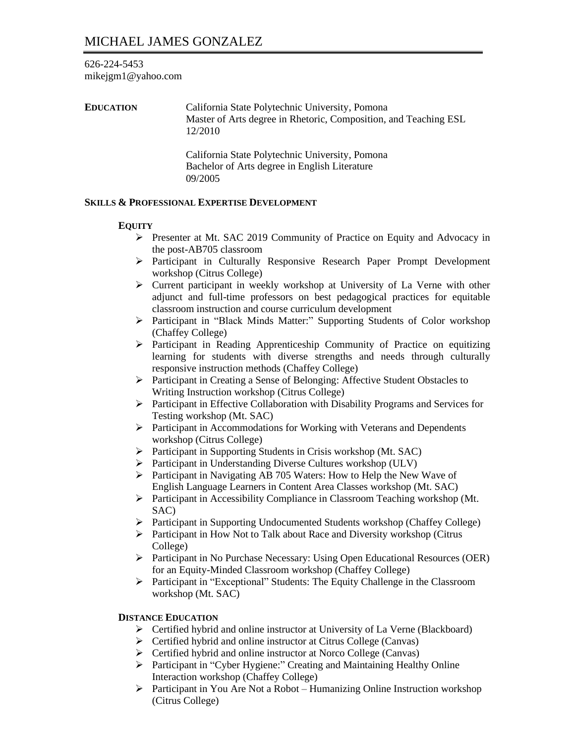### 626-224-5453 mikejgm1@yahoo.com

**EDUCATION** California State Polytechnic University, Pomona Master of Arts degree in Rhetoric, Composition, and Teaching ESL 12/2010 California State Polytechnic University, Pomona Bachelor of Arts degree in English Literature

### **SKILLS & PROFESSIONAL EXPERTISE DEVELOPMENT**

09/2005

### **EQUITY**

- ➢ Presenter at Mt. SAC 2019 Community of Practice on Equity and Advocacy in the post-AB705 classroom
- ➢ Participant in Culturally Responsive Research Paper Prompt Development workshop (Citrus College)
- ➢ Current participant in weekly workshop at University of La Verne with other adjunct and full-time professors on best pedagogical practices for equitable classroom instruction and course curriculum development
- ➢ Participant in "Black Minds Matter:" Supporting Students of Color workshop (Chaffey College)
- ➢ Participant in Reading Apprenticeship Community of Practice on equitizing learning for students with diverse strengths and needs through culturally responsive instruction methods (Chaffey College)
- ➢ Participant in Creating a Sense of Belonging: Affective Student Obstacles to Writing Instruction workshop (Citrus College)
- ➢ Participant in Effective Collaboration with Disability Programs and Services for Testing workshop (Mt. SAC)
- ➢ Participant in Accommodations for Working with Veterans and Dependents workshop (Citrus College)
- ➢ Participant in Supporting Students in Crisis workshop (Mt. SAC)
- ➢ Participant in Understanding Diverse Cultures workshop (ULV)
- ➢ Participant in Navigating AB 705 Waters: How to Help the New Wave of English Language Learners in Content Area Classes workshop (Mt. SAC)
- ➢ Participant in Accessibility Compliance in Classroom Teaching workshop (Mt. SAC)
- ➢ Participant in Supporting Undocumented Students workshop (Chaffey College)
- ➢ Participant in How Not to Talk about Race and Diversity workshop (Citrus College)
- ➢ Participant in No Purchase Necessary: Using Open Educational Resources (OER) for an Equity-Minded Classroom workshop (Chaffey College)
- ➢ Participant in "Exceptional" Students: The Equity Challenge in the Classroom workshop (Mt. SAC)

### **DISTANCE EDUCATION**

- ➢ Certified hybrid and online instructor at University of La Verne (Blackboard)
- ➢ Certified hybrid and online instructor at Citrus College (Canvas)
- ➢ Certified hybrid and online instructor at Norco College (Canvas)
- ➢ Participant in "Cyber Hygiene:" Creating and Maintaining Healthy Online Interaction workshop (Chaffey College)
- ➢ Participant in You Are Not a Robot Humanizing Online Instruction workshop (Citrus College)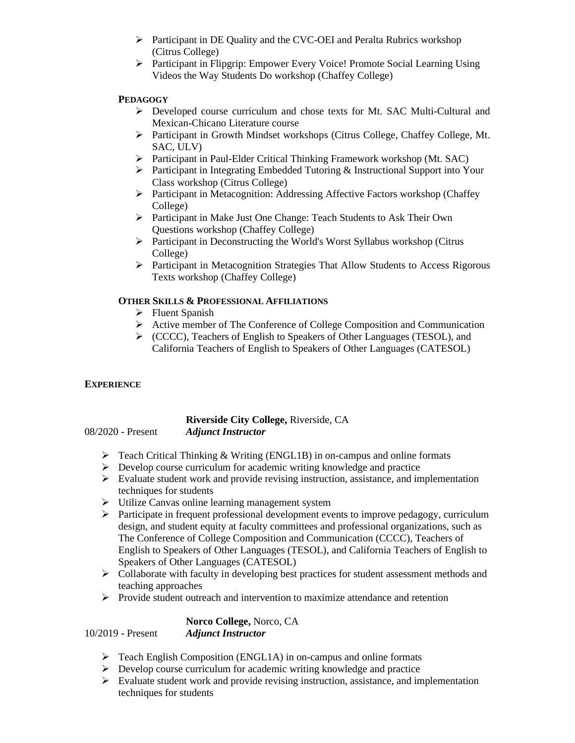- ➢ Participant in DE Quality and the CVC-OEI and Peralta Rubrics workshop (Citrus College)
- ➢ Participant in Flipgrip: Empower Every Voice! Promote Social Learning Using Videos the Way Students Do workshop (Chaffey College)

# **PEDAGOGY**

- ➢ Developed course curriculum and chose texts for Mt. SAC Multi-Cultural and Mexican-Chicano Literature course
- ➢ Participant in Growth Mindset workshops (Citrus College, Chaffey College, Mt. SAC, ULV)
- ➢ Participant in Paul-Elder Critical Thinking Framework workshop (Mt. SAC)
- ➢ Participant in Integrating Embedded Tutoring & Instructional Support into Your Class workshop (Citrus College)
- ➢ Participant in Metacognition: Addressing Affective Factors workshop (Chaffey College)
- ➢ Participant in Make Just One Change: Teach Students to Ask Their Own Questions workshop (Chaffey College)
- ➢ Participant in Deconstructing the World's Worst Syllabus workshop (Citrus College)
- ➢ Participant in Metacognition Strategies That Allow Students to Access Rigorous Texts workshop (Chaffey College)

# **OTHER SKILLS & PROFESSIONAL AFFILIATIONS**

- ➢ Fluent Spanish
- ➢ Active member of The Conference of College Composition and Communication
- ➢ (CCCC), Teachers of English to Speakers of Other Languages (TESOL), and California Teachers of English to Speakers of Other Languages (CATESOL)

# **EXPERIENCE**

#### **Riverside City College,** Riverside, CA 08/2020 - Present *Adjunct Instructor*

- $\triangleright$  Teach Critical Thinking & Writing (ENGL1B) in on-campus and online formats
- $\triangleright$  Develop course curriculum for academic writing knowledge and practice
- ➢ Evaluate student work and provide revising instruction, assistance, and implementation techniques for students
- ➢ Utilize Canvas online learning management system
- $\triangleright$  Participate in frequent professional development events to improve pedagogy, curriculum design, and student equity at faculty committees and professional organizations, such as The Conference of College Composition and Communication (CCCC), Teachers of English to Speakers of Other Languages (TESOL), and California Teachers of English to Speakers of Other Languages (CATESOL)
- $\triangleright$  Collaborate with faculty in developing best practices for student assessment methods and teaching approaches
- $\triangleright$  Provide student outreach and intervention to maximize attendance and retention

**Norco College,** Norco, CA 10/2019 - Present *Adjunct Instructor* 

- ➢ Teach English Composition (ENGL1A) in on-campus and online formats
- ➢ Develop course curriculum for academic writing knowledge and practice
- ➢ Evaluate student work and provide revising instruction, assistance, and implementation techniques for students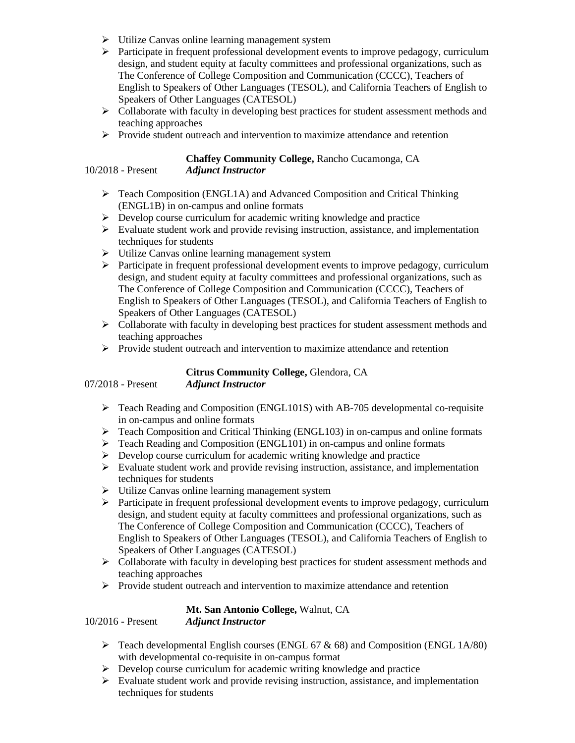- ➢ Utilize Canvas online learning management system
- ➢ Participate in frequent professional development events to improve pedagogy, curriculum design, and student equity at faculty committees and professional organizations, such as The Conference of College Composition and Communication (CCCC), Teachers of English to Speakers of Other Languages (TESOL), and California Teachers of English to Speakers of Other Languages (CATESOL)
- $\triangleright$  Collaborate with faculty in developing best practices for student assessment methods and teaching approaches
- ➢ Provide student outreach and intervention to maximize attendance and retention

# **Chaffey Community College,** Rancho Cucamonga, CA

10/2018 - Present *Adjunct Instructor* 

- $\triangleright$  Teach Composition (ENGL1A) and Advanced Composition and Critical Thinking (ENGL1B) in on-campus and online formats
- $\triangleright$  Develop course curriculum for academic writing knowledge and practice
- $\triangleright$  Evaluate student work and provide revising instruction, assistance, and implementation techniques for students
- ➢ Utilize Canvas online learning management system
- $\triangleright$  Participate in frequent professional development events to improve pedagogy, curriculum design, and student equity at faculty committees and professional organizations, such as The Conference of College Composition and Communication (CCCC), Teachers of English to Speakers of Other Languages (TESOL), and California Teachers of English to Speakers of Other Languages (CATESOL)
- $\triangleright$  Collaborate with faculty in developing best practices for student assessment methods and teaching approaches
- $\triangleright$  Provide student outreach and intervention to maximize attendance and retention

# **Citrus Community College,** Glendora, CA

# 07/2018 - Present *Adjunct Instructor*

- ➢ Teach Reading and Composition (ENGL101S) with AB-705 developmental co-requisite in on-campus and online formats
- ➢ Teach Composition and Critical Thinking (ENGL103) in on-campus and online formats
- ➢ Teach Reading and Composition (ENGL101) in on-campus and online formats
- ➢ Develop course curriculum for academic writing knowledge and practice
- $\triangleright$  Evaluate student work and provide revising instruction, assistance, and implementation techniques for students
- ➢ Utilize Canvas online learning management system
- $\triangleright$  Participate in frequent professional development events to improve pedagogy, curriculum design, and student equity at faculty committees and professional organizations, such as The Conference of College Composition and Communication (CCCC), Teachers of English to Speakers of Other Languages (TESOL), and California Teachers of English to Speakers of Other Languages (CATESOL)
- $\triangleright$  Collaborate with faculty in developing best practices for student assessment methods and teaching approaches
- $\triangleright$  Provide student outreach and intervention to maximize attendance and retention

# **Mt. San Antonio College,** Walnut, CA

10/2016 - Present *Adjunct Instructor* 

- $\triangleright$  Teach developmental English courses (ENGL 67 & 68) and Composition (ENGL 1A/80) with developmental co-requisite in on-campus format
- ➢ Develop course curriculum for academic writing knowledge and practice
- ➢ Evaluate student work and provide revising instruction, assistance, and implementation techniques for students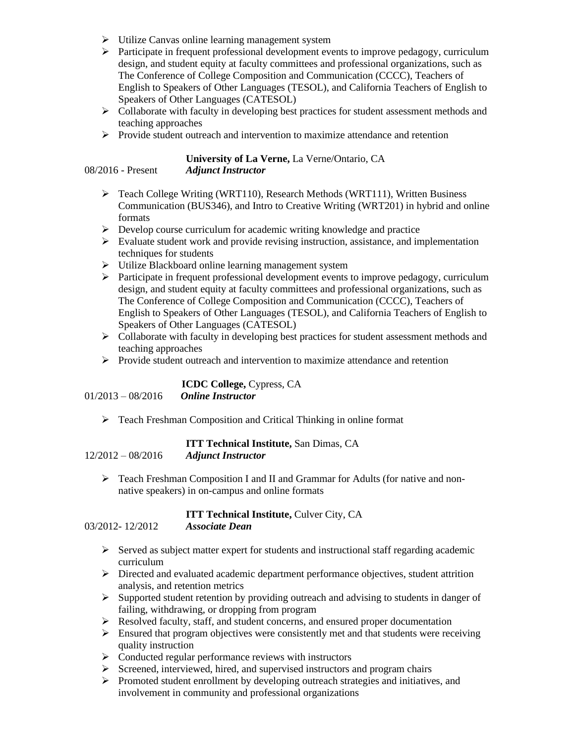- ➢ Utilize Canvas online learning management system
- $\triangleright$  Participate in frequent professional development events to improve pedagogy, curriculum design, and student equity at faculty committees and professional organizations, such as The Conference of College Composition and Communication (CCCC), Teachers of English to Speakers of Other Languages (TESOL), and California Teachers of English to Speakers of Other Languages (CATESOL)
- ➢ Collaborate with faculty in developing best practices for student assessment methods and teaching approaches
- ➢ Provide student outreach and intervention to maximize attendance and retention

# **University of La Verne,** La Verne/Ontario, CA

- 08/2016 Present *Adjunct Instructor* 
	- ➢ Teach College Writing (WRT110), Research Methods (WRT111), Written Business Communication (BUS346), and Intro to Creative Writing (WRT201) in hybrid and online formats
	- ➢ Develop course curriculum for academic writing knowledge and practice
	- ➢ Evaluate student work and provide revising instruction, assistance, and implementation techniques for students
	- ➢ Utilize Blackboard online learning management system
	- ➢ Participate in frequent professional development events to improve pedagogy, curriculum design, and student equity at faculty committees and professional organizations, such as The Conference of College Composition and Communication (CCCC), Teachers of English to Speakers of Other Languages (TESOL), and California Teachers of English to Speakers of Other Languages (CATESOL)
	- $\triangleright$  Collaborate with faculty in developing best practices for student assessment methods and teaching approaches
	- ➢ Provide student outreach and intervention to maximize attendance and retention

|                     | <b>ICDC College, Cypress, CA</b> |
|---------------------|----------------------------------|
| $01/2013 - 08/2016$ | <b>Online Instructor</b>         |

➢ Teach Freshman Composition and Critical Thinking in online format

|                     | <b>ITT Technical Institute, San Dimas, CA</b> |
|---------------------|-----------------------------------------------|
| $12/2012 - 08/2016$ | <b>Adjunct Instructor</b>                     |

➢ Teach Freshman Composition I and II and Grammar for Adults (for native and nonnative speakers) in on-campus and online formats

### **ITT Technical Institute, Culver City, CA**

### 03/2012- 12/2012 *Associate Dean*

- $\triangleright$  Served as subject matter expert for students and instructional staff regarding academic curriculum
- ➢ Directed and evaluated academic department performance objectives, student attrition analysis, and retention metrics
- ➢ Supported student retention by providing outreach and advising to students in danger of failing, withdrawing, or dropping from program
- ➢ Resolved faculty, staff, and student concerns, and ensured proper documentation
- $\triangleright$  Ensured that program objectives were consistently met and that students were receiving quality instruction
- ➢ Conducted regular performance reviews with instructors
- ➢ Screened, interviewed, hired, and supervised instructors and program chairs
- ➢ Promoted student enrollment by developing outreach strategies and initiatives, and involvement in community and professional organizations